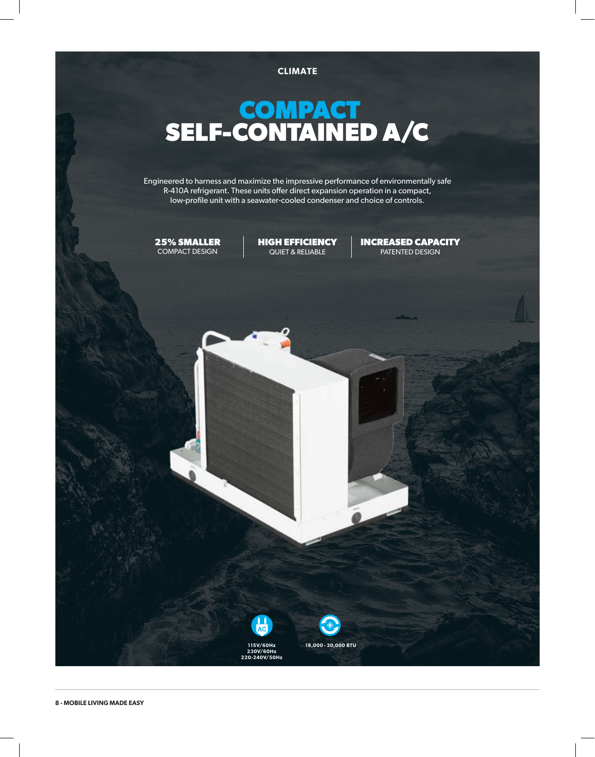

## **COMPACT SELF-CONTAINED A/C**

Engineered to harness and maximize the impressive performance of environmentally safe R-410A refrigerant. These units offer direct expansion operation in a compact, low-profile unit with a seawater-cooled condenser and choice of controls.

**25% SMALLER** COMPACT DESIGN

**HIGH EFFICIENCY** QUIET & RELIABLE

**INCREASED CAPACITY** PATENTED DESIGN